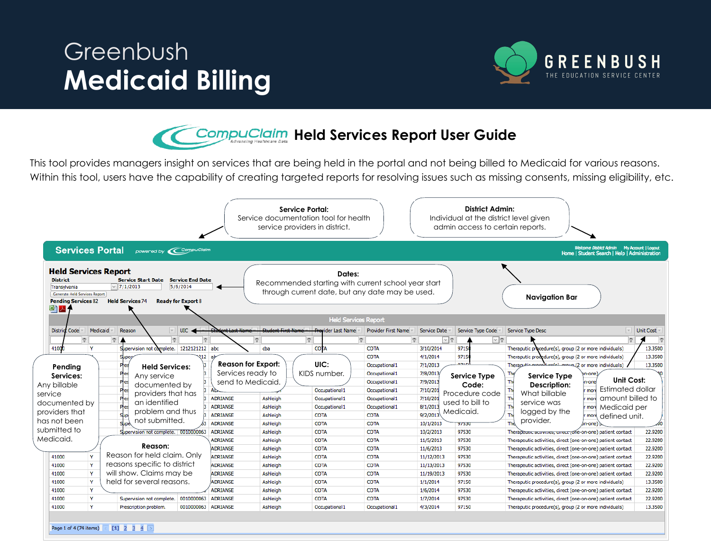## Greenbush **Medicaid Billing**



**CompuClaim Held Services Report User Guide** 

This tool provides managers insight on services that are being held in the portal and not being billed to Medicaid for various reasons. Within this tool, users have the capability of creating targeted reports for resolving issues such as missing consents, missing eligibility, etc.